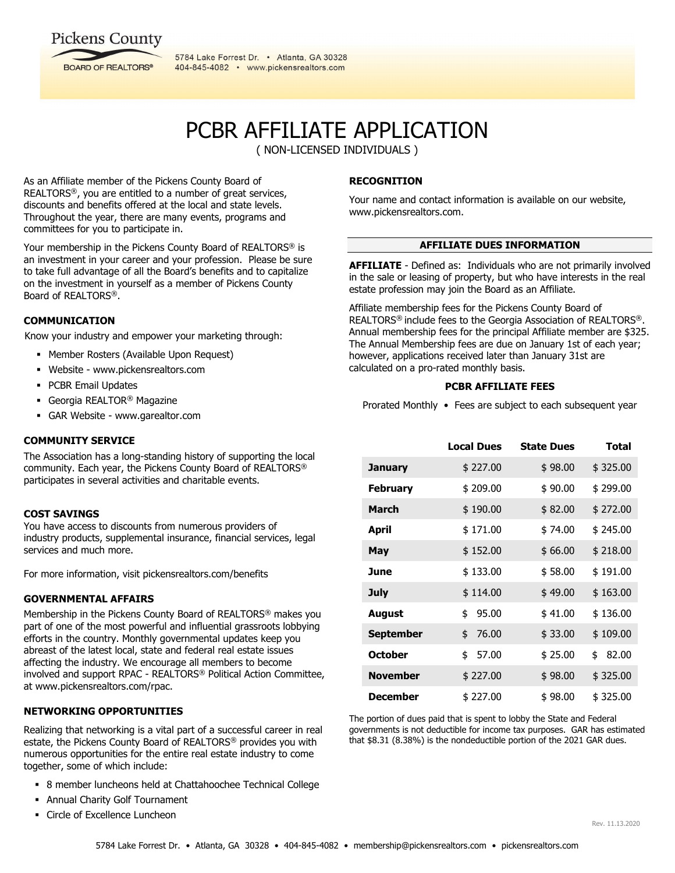# **Pickens County**



5784 Lake Forrest Dr. . Atlanta, GA 30328 404-845-4082 • www.pickensrealtors.com

# PCBR AFFILIATE APPLICATION

( NON-LICENSED INDIVIDUALS )

As an Affiliate member of the Pickens County Board of REALTORS®, you are entitled to a number of great services, discounts and benefits offered at the local and state levels. Throughout the year, there are many events, programs and committees for you to participate in.

Your membership in the Pickens County Board of REALTORS® is an investment in your career and your profession. Please be sure to take full advantage of all the Board's benefits and to capitalize on the investment in yourself as a member of Pickens County Board of REALTORS®.

# **COMMUNICATION**

Know your industry and empower your marketing through:

- Member Rosters (Available Upon Request)
- Website www.pickensrealtors.com
- **PCBR Email Updates**
- Georgia REALTOR<sup>®</sup> Magazine
- GAR Website www.garealtor.com

## **COMMUNITY SERVICE**

The Association has a long-standing history of supporting the local community. Each year, the Pickens County Board of REALTORS® participates in several activities and charitable events.

## **COST SAVINGS**

You have access to discounts from numerous providers of industry products, supplemental insurance, financial services, legal services and much more.

For more information, visit pickensrealtors.com/benefits

## **GOVERNMENTAL AFFAIRS**

Membership in the Pickens County Board of REALTORS® makes you part of one of the most powerful and influential grassroots lobbying efforts in the country. Monthly governmental updates keep you abreast of the latest local, state and federal real estate issues affecting the industry. We encourage all members to become involved and support RPAC - REALTORS® Political Action Committee, at www.pickensrealtors.com/rpac.

## **NETWORKING OPPORTUNITIES**

Realizing that networking is a vital part of a successful career in real estate, the Pickens County Board of REALTORS® provides you with numerous opportunities for the entire real estate industry to come together, some of which include:

- 8 member luncheons held at Chattahoochee Technical College
- Annual Charity Golf Tournament
- Circle of Excellence Luncheon

# **RECOGNITION**

Your name and contact information is available on our website, www.pickensrealtors.com.

## **AFFILIATE DUES INFORMATION**

**AFFILIATE** - Defined as: Individuals who are not primarily involved in the sale or leasing of property, but who have interests in the real estate profession may join the Board as an Affiliate.

Affiliate membership fees for the Pickens County Board of REALTORS® include fees to the Georgia Association of REALTORS®. Annual membership fees for the principal Affiliate member are \$325. The Annual Membership fees are due on January 1st of each year; however, applications received later than January 31st are calculated on a pro-rated monthly basis.

#### **PCBR AFFILIATE FEES**

Prorated Monthly • Fees are subject to each subsequent year

|                  | <b>Local Dues</b> | <b>State Dues</b> | Total       |
|------------------|-------------------|-------------------|-------------|
| January          | \$227.00          | \$98.00           | \$325.00    |
| <b>February</b>  | \$209.00          | \$90.00           | \$299.00    |
| <b>March</b>     | \$190.00          | \$82.00           | \$272.00    |
| April            | \$171.00          | \$74.00           | \$245.00    |
| May              | \$152.00          | \$66.00           | \$218.00    |
| June             | \$133.00          | \$58.00           | \$191.00    |
| <b>July</b>      | \$114.00          | \$49.00           | \$163.00    |
| August           | \$<br>95.00       | \$41.00           | \$136.00    |
| <b>September</b> | 76.00<br>\$       | \$33.00           | \$109.00    |
| <b>October</b>   | \$<br>57.00       | \$25.00           | \$<br>82.00 |
| <b>November</b>  | \$227.00          | \$98.00           | \$325.00    |
| <b>December</b>  | \$227.00          | \$98.00           | \$325.00    |

The portion of dues paid that is spent to lobby the State and Federal governments is not deductible for income tax purposes. GAR has estimated that \$8.31 (8.38%) is the nondeductible portion of the 2021 GAR dues.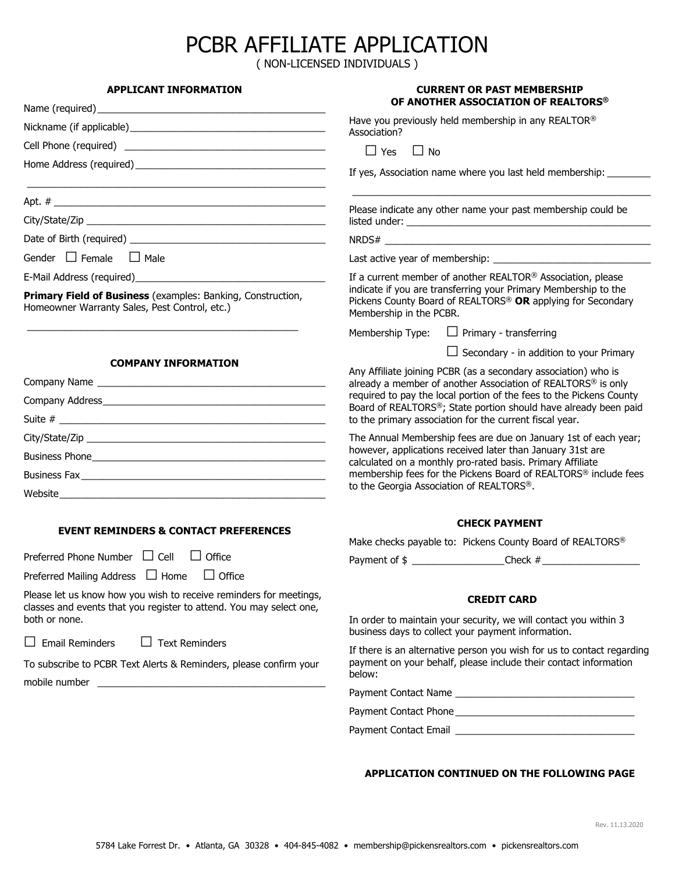# PCBR AFFILIATE APPLICATION

( NON-LICENSED INDIVIDUALS )

| <b>APPLICANT INFORMATION</b>                                                                                                              | <b>CURRENT OR PAST MEMBERSHIP</b>                                                                                                                                                                                 |  |  |
|-------------------------------------------------------------------------------------------------------------------------------------------|-------------------------------------------------------------------------------------------------------------------------------------------------------------------------------------------------------------------|--|--|
|                                                                                                                                           | OF ANOTHER ASSOCIATION OF REALTORS®                                                                                                                                                                               |  |  |
| Nickname (if applicable) Mickname (if applicable)                                                                                         | Have you previously held membership in any REALTOR®<br>Association?                                                                                                                                               |  |  |
|                                                                                                                                           | $\Box$ Yes<br>$\Box$ No                                                                                                                                                                                           |  |  |
|                                                                                                                                           | If yes, Association name where you last held membership: ________                                                                                                                                                 |  |  |
|                                                                                                                                           | Please indicate any other name your past membership could be                                                                                                                                                      |  |  |
|                                                                                                                                           |                                                                                                                                                                                                                   |  |  |
|                                                                                                                                           |                                                                                                                                                                                                                   |  |  |
| Gender $\Box$ Female $\Box$ Male                                                                                                          |                                                                                                                                                                                                                   |  |  |
|                                                                                                                                           | If a current member of another REALTOR® Association, please                                                                                                                                                       |  |  |
| Primary Field of Business (examples: Banking, Construction,<br>Homeowner Warranty Sales, Pest Control, etc.)                              | indicate if you are transferring your Primary Membership to the<br>Pickens County Board of REALTORS® OR applying for Secondary<br>Membership in the PCBR.                                                         |  |  |
|                                                                                                                                           | Membership Type:<br>$\Box$ Primary - transferring                                                                                                                                                                 |  |  |
|                                                                                                                                           | $\Box$ Secondary - in addition to your Primary                                                                                                                                                                    |  |  |
| <b>COMPANY INFORMATION</b>                                                                                                                | Any Affiliate joining PCBR (as a secondary association) who is<br>already a member of another Association of REALTORS <sup>®</sup> is only<br>required to pay the local portion of the fees to the Pickens County |  |  |
|                                                                                                                                           |                                                                                                                                                                                                                   |  |  |
|                                                                                                                                           | Board of REALTORS®; State portion should have already been paid<br>to the primary association for the current fiscal year.                                                                                        |  |  |
|                                                                                                                                           |                                                                                                                                                                                                                   |  |  |
|                                                                                                                                           | The Annual Membership fees are due on January 1st of each year;<br>however, applications received later than January 31st are                                                                                     |  |  |
|                                                                                                                                           | calculated on a monthly pro-rated basis. Primary Affiliate<br>membership fees for the Pickens Board of REALTORS® include fees<br>to the Georgia Association of REALTORS®.                                         |  |  |
|                                                                                                                                           |                                                                                                                                                                                                                   |  |  |
|                                                                                                                                           |                                                                                                                                                                                                                   |  |  |
| <b>EVENT REMINDERS &amp; CONTACT PREFERENCES</b>                                                                                          | <b>CHECK PAYMENT</b>                                                                                                                                                                                              |  |  |
|                                                                                                                                           | Make checks payable to: Pickens County Board of REALTORS®                                                                                                                                                         |  |  |
| Preferred Phone Number $\Box$ Cell<br>$\Box$ Office                                                                                       | Payment of $\frac{1}{2}$ Check $\frac{1}{2}$                                                                                                                                                                      |  |  |
| Preferred Mailing Address $\Box$ Home<br>$\Box$ Office                                                                                    |                                                                                                                                                                                                                   |  |  |
| Please let us know how you wish to receive reminders for meetings,<br>classes and events that you register to attend. You may select one, | <b>CREDIT CARD</b>                                                                                                                                                                                                |  |  |
| both or none.                                                                                                                             | In order to maintain your security, we will contact you within 3<br>business days to collect your payment information.                                                                                            |  |  |
| $\Box$ Text Reminders<br>$\Box$ Email Reminders                                                                                           | If there is an alternative person you wish for us to contact regarding<br>payment on your behalf, please include their contact information<br>below:                                                              |  |  |
| To subscribe to PCBR Text Alerts & Reminders, please confirm your                                                                         |                                                                                                                                                                                                                   |  |  |
|                                                                                                                                           |                                                                                                                                                                                                                   |  |  |
|                                                                                                                                           |                                                                                                                                                                                                                   |  |  |
|                                                                                                                                           |                                                                                                                                                                                                                   |  |  |

# **APPLICATION CONTINUED ON THE FOLLOWING PAGE**